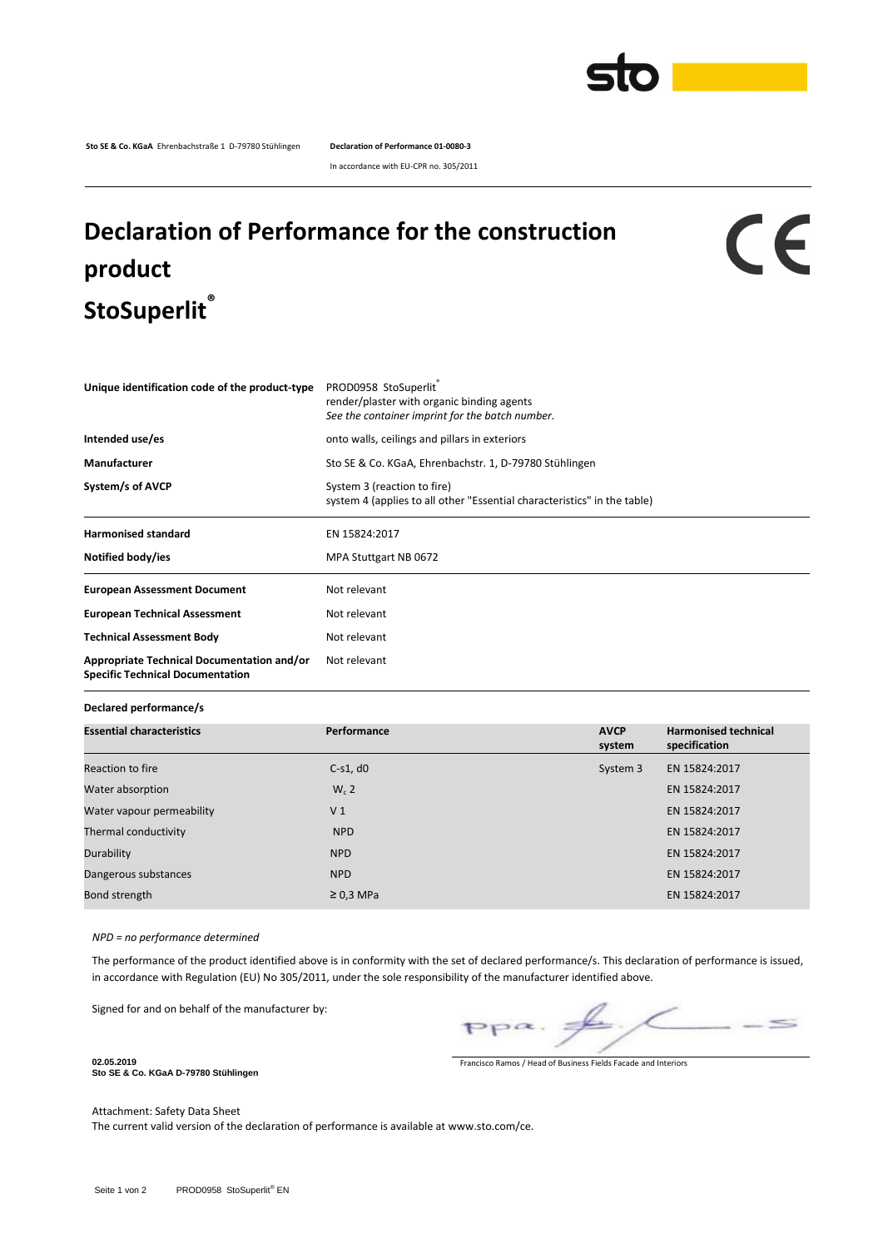

**Sto SE & Co. KGaA** Ehrenbachstraße 1 D-79780 Stühlingen **Declaration of Performance 01-0080-3**

In accordance with EU-CPR no. 305/2011

## **Declaration of Performance for the construction product StoSuperlit®**

## CE

| Unique identification code of the product-type                                        | PROD0958 StoSuperlit<br>render/plaster with organic binding agents<br>See the container imprint for the batch number. |  |  |
|---------------------------------------------------------------------------------------|-----------------------------------------------------------------------------------------------------------------------|--|--|
| Intended use/es                                                                       | onto walls, ceilings and pillars in exteriors                                                                         |  |  |
| Manufacturer                                                                          | Sto SE & Co. KGaA, Ehrenbachstr. 1, D-79780 Stühlingen                                                                |  |  |
| System/s of AVCP                                                                      | System 3 (reaction to fire)<br>system 4 (applies to all other "Essential characteristics" in the table)               |  |  |
| <b>Harmonised standard</b>                                                            | EN 15824:2017                                                                                                         |  |  |
| Notified body/ies                                                                     | MPA Stuttgart NB 0672                                                                                                 |  |  |
| <b>European Assessment Document</b>                                                   | Not relevant                                                                                                          |  |  |
| <b>European Technical Assessment</b>                                                  | Not relevant                                                                                                          |  |  |
| <b>Technical Assessment Body</b>                                                      | Not relevant                                                                                                          |  |  |
| Appropriate Technical Documentation and/or<br><b>Specific Technical Documentation</b> | Not relevant                                                                                                          |  |  |

**Declared performance/s**

| <b>Essential characteristics</b> | Performance    | <b>AVCP</b><br>system | <b>Harmonised technical</b><br>specification |  |
|----------------------------------|----------------|-----------------------|----------------------------------------------|--|
| Reaction to fire                 | $C-S1, d0$     | System 3              | EN 15824:2017                                |  |
| Water absorption                 | $W_c$ 2        |                       | EN 15824:2017                                |  |
| Water vapour permeability        | V <sub>1</sub> |                       | EN 15824:2017                                |  |
| Thermal conductivity             | <b>NPD</b>     |                       | EN 15824:2017                                |  |
| Durability                       | <b>NPD</b>     |                       | EN 15824:2017                                |  |
| Dangerous substances             | <b>NPD</b>     |                       | EN 15824:2017                                |  |
| Bond strength                    | $\geq$ 0,3 MPa |                       | EN 15824:2017                                |  |

*NPD = no performance determined*

The performance of the product identified above is in conformity with the set of declared performance/s. This declaration of performance is issued, in accordance with Regulation (EU) No 305/2011, under the sole responsibility of the manufacturer identified above.

Signed for and on behalf of the manufacturer by:

 $\leq$ 

Francisco Ramos / Head of Business Fields Facade and Interiors

**Sto SE & Co. KGaA D-79780 Stühlingen**

**02.05.2019**

Attachment: Safety Data Sheet

The current valid version of the declaration of performance is available at www.sto.com/ce.